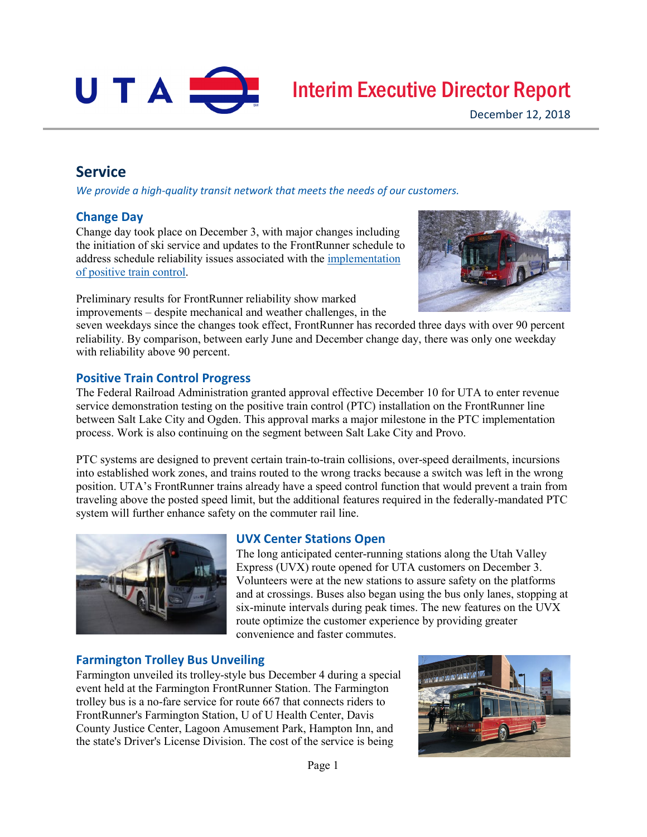

# Interim Executive Director Report

## **Service**

*We provide a high-quality transit network that meets the needs of our customers.*

## **Change Day**

Change day took place on December 3, with major changes including the initiation of ski service and updates to the FrontRunner schedule to address schedule reliability issues associated with the [implementation](http://www.rideuta.com/news/2018/11/System-of-Safety)  of [positive train control.](http://www.rideuta.com/news/2018/11/System-of-Safety)

Preliminary results for FrontRunner reliability show marked improvements – despite mechanical and weather challenges, in the



seven weekdays since the changes took effect, FrontRunner has recorded three days with over 90 percent reliability. By comparison, between early June and December change day, there was only one weekday with reliability above 90 percent.

#### **Positive Train Control Progress**

The Federal Railroad Administration granted approval effective December 10 for UTA to enter revenue service demonstration testing on the positive train control (PTC) installation on the FrontRunner line between Salt Lake City and Ogden. This approval marks a major milestone in the PTC implementation process. Work is also continuing on the segment between Salt Lake City and Provo.

PTC systems are designed to prevent certain train-to-train collisions, over-speed derailments, incursions into established work zones, and trains routed to the wrong tracks because a switch was left in the wrong position. UTA's FrontRunner trains already have a speed control function that would prevent a train from traveling above the posted speed limit, but the additional features required in the federally-mandated PTC system will further enhance safety on the commuter rail line.



## **UVX Center Stations Open**

The long anticipated center-running stations along the Utah Valley Express (UVX) route opened for UTA customers on December 3. Volunteers were at the new stations to assure safety on the platforms and at crossings. Buses also began using the bus only lanes, stopping at six-minute intervals during peak times. The new features on the UVX route optimize the customer experience by providing greater convenience and faster commutes.

## **Farmington Trolley Bus Unveiling**

Farmington unveiled its trolley-style bus December 4 during a special event held at the Farmington FrontRunner Station. The Farmington trolley bus is a no-fare service for route 667 that connects riders to FrontRunner's Farmington Station, U of U Health Center, Davis County Justice Center, Lagoon Amusement Park, Hampton Inn, and the state's Driver's License Division. The cost of the service is being